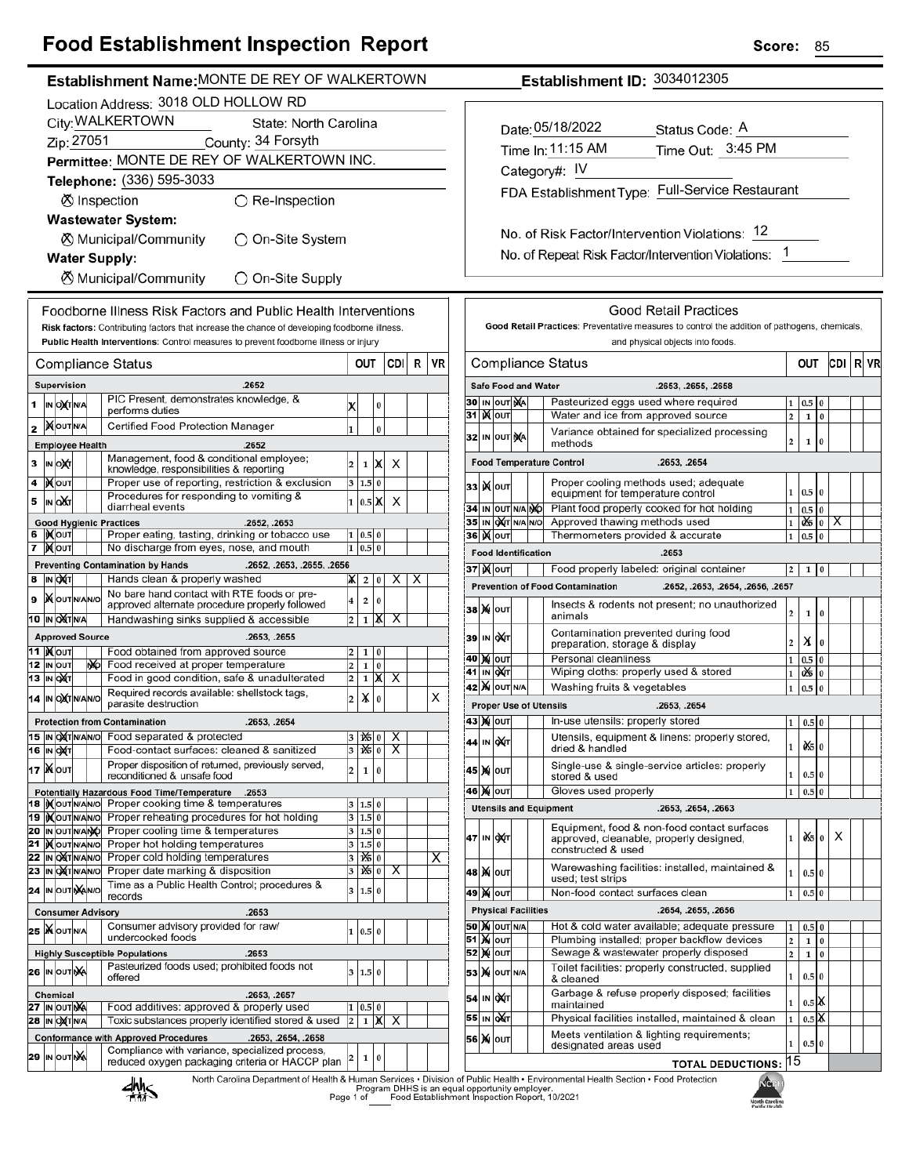## **Food Establishment Inspection Report**

| rood Establishment mspection Report                                                                                     |                                                                                                                                                                                                                                                                                                                                            |                                                    | ocore:<br>ၓၥ                                                                                                                                                                                      |             |  |  |  |
|-------------------------------------------------------------------------------------------------------------------------|--------------------------------------------------------------------------------------------------------------------------------------------------------------------------------------------------------------------------------------------------------------------------------------------------------------------------------------------|----------------------------------------------------|---------------------------------------------------------------------------------------------------------------------------------------------------------------------------------------------------|-------------|--|--|--|
| Establishment Name: MONTE DE REY OF WALKERTOWN                                                                          |                                                                                                                                                                                                                                                                                                                                            |                                                    | Establishment ID: 3034012305                                                                                                                                                                      |             |  |  |  |
| Location Address: 3018 OLD HOLLOW RD                                                                                    |                                                                                                                                                                                                                                                                                                                                            |                                                    |                                                                                                                                                                                                   |             |  |  |  |
| City: WALKERTOWN<br>State: North Carolina                                                                               |                                                                                                                                                                                                                                                                                                                                            |                                                    | Date: 05/18/2022                                                                                                                                                                                  |             |  |  |  |
| Zip: 27051<br>County: 34 Forsyth                                                                                        |                                                                                                                                                                                                                                                                                                                                            |                                                    | Status Code: A                                                                                                                                                                                    |             |  |  |  |
| Permittee: MONTE DE REY OF WALKERTOWN INC.                                                                              |                                                                                                                                                                                                                                                                                                                                            |                                                    | Time Out: 3:45 PM<br>Time In: 11:15 AM                                                                                                                                                            |             |  |  |  |
| Telephone: (336) 595-3033                                                                                               |                                                                                                                                                                                                                                                                                                                                            |                                                    | Category#: IV                                                                                                                                                                                     |             |  |  |  |
| <b><sup>⊘</sup></b> Inspection<br>$\bigcirc$ Re-Inspection                                                              |                                                                                                                                                                                                                                                                                                                                            |                                                    | FDA Establishment Type: Full-Service Restaurant                                                                                                                                                   |             |  |  |  |
| <b>Wastewater System:</b>                                                                                               |                                                                                                                                                                                                                                                                                                                                            |                                                    |                                                                                                                                                                                                   |             |  |  |  |
| <b><math>\oslash</math> Municipal/Community</b><br>◯ On-Site System                                                     |                                                                                                                                                                                                                                                                                                                                            |                                                    | No. of Risk Factor/Intervention Violations: 12                                                                                                                                                    |             |  |  |  |
| <b>Water Supply:</b>                                                                                                    |                                                                                                                                                                                                                                                                                                                                            |                                                    | No. of Repeat Risk Factor/Intervention Violations: 1                                                                                                                                              |             |  |  |  |
| <b><math>\oslash</math> Municipal/Community</b><br>O On-Site Supply                                                     |                                                                                                                                                                                                                                                                                                                                            |                                                    |                                                                                                                                                                                                   |             |  |  |  |
|                                                                                                                         |                                                                                                                                                                                                                                                                                                                                            |                                                    |                                                                                                                                                                                                   |             |  |  |  |
| Foodborne Illness Risk Factors and Public Health Interventions                                                          |                                                                                                                                                                                                                                                                                                                                            |                                                    | <b>Good Retail Practices</b>                                                                                                                                                                      |             |  |  |  |
| Risk factors: Contributing factors that increase the chance of developing foodborne illness.                            |                                                                                                                                                                                                                                                                                                                                            |                                                    | Good Retail Practices: Preventative measures to control the addition of pathogens, chemicals,                                                                                                     |             |  |  |  |
| Public Health Interventions: Control measures to prevent foodborne illness or injury                                    |                                                                                                                                                                                                                                                                                                                                            |                                                    | and physical objects into foods.                                                                                                                                                                  |             |  |  |  |
| Compliance Status                                                                                                       | <b>CDI</b><br><b>OUT</b>                                                                                                                                                                                                                                                                                                                   | R<br>VR                                            | <b>Compliance Status</b><br>OUT                                                                                                                                                                   | R VR<br>CDI |  |  |  |
| .2652<br>Supervision                                                                                                    |                                                                                                                                                                                                                                                                                                                                            |                                                    | <b>Safe Food and Water</b><br>.2653, .2655, .2658                                                                                                                                                 |             |  |  |  |
| PIC Present, demonstrates knowledge, &<br>$1$ IN OXT N/A<br>performs duties                                             | X<br>0                                                                                                                                                                                                                                                                                                                                     |                                                    | Pasteurized eggs used where required<br>30 IN OUT NA<br>$1 \ 0.5 \ 0$                                                                                                                             |             |  |  |  |
| 2 MOUTINA<br>Certified Food Protection Manager                                                                          | $\boldsymbol{0}$<br>1                                                                                                                                                                                                                                                                                                                      |                                                    | 31   <b>X</b>   OUT<br>$1\overline{0}$<br>Water and ice from approved source<br>$\overline{2}$                                                                                                    |             |  |  |  |
| <b>Employee Health</b><br>.2652                                                                                         |                                                                                                                                                                                                                                                                                                                                            |                                                    | Variance obtained for specialized processing<br>32 IN OUT NA<br>$\mathbf 2$<br>$\mathbf{1}$<br>$\bf{0}$<br>methods                                                                                |             |  |  |  |
| Management, food & conditional employee;<br>3 IN OXT                                                                    | $\overline{\mathbf{c}}$<br>$1 \mathbb{X} $<br>X                                                                                                                                                                                                                                                                                            |                                                    | <b>Food Temperature Control</b><br>.2653, .2654                                                                                                                                                   |             |  |  |  |
| knowledge, responsibilities & reporting<br>Proper use of reporting, restriction & exclusion<br>4   NOUT                 | 3 1.5 0                                                                                                                                                                                                                                                                                                                                    |                                                    | Proper cooling methods used; adequate                                                                                                                                                             |             |  |  |  |
| Procedures for responding to vomiting &<br>IN OUT<br>5                                                                  | 1 0.5 X<br>$\times$                                                                                                                                                                                                                                                                                                                        |                                                    | 33  ) (OUT<br>$1 \quad 0.5 \quad 0$<br>equipment for temperature control                                                                                                                          |             |  |  |  |
| diarrheal events<br>.2652, .2653                                                                                        |                                                                                                                                                                                                                                                                                                                                            |                                                    | 34 IN OUT N/A NO<br>Plant food properly cooked for hot holding<br>$1\overline{0.5}0$<br>35 IN OXT N/A N/O<br>Approved thawing methods used<br>$1$   $\frac{1}{1}$   $\frac{1}{1}$   $\frac{1}{1}$ |             |  |  |  |
| <b>Good Hygienic Practices</b><br>6   KOUT<br>Proper eating, tasting, drinking or tobacco use                           | 1   0.5   0                                                                                                                                                                                                                                                                                                                                |                                                    | <b>36 ) ОUT</b><br>Thermometers provided & accurate<br>1   0.5   0                                                                                                                                |             |  |  |  |
| 7 Mout<br>No discharge from eyes, nose, and mouth                                                                       | 1 0.5 0                                                                                                                                                                                                                                                                                                                                    |                                                    | <b>Food Identification</b><br>.2653                                                                                                                                                               |             |  |  |  |
| <b>Preventing Contamination by Hands</b><br>.2652, .2653, .2655, .2656<br>Hands clean & properly washed                 |                                                                                                                                                                                                                                                                                                                                            |                                                    | <b>37 )(</b>   оит<br>Food properly labeled: original container<br>$2 \mid 1 \mid 0$                                                                                                              |             |  |  |  |
| 8 IN OXT<br>No bare hand contact with RTE foods or pre-                                                                 | $\vert X \vert$<br>$\vert X \vert 2 \vert 0 \vert$                                                                                                                                                                                                                                                                                         | Х                                                  | <b>Prevention of Food Contamination</b><br>.2652, .2653, .2654, .2656, .2657                                                                                                                      |             |  |  |  |
| 9 MOUTINANO<br>approved alternate procedure properly followed                                                           | $\overline{\mathbf{4}}$<br>2 0                                                                                                                                                                                                                                                                                                             |                                                    | Insects & rodents not present; no unauthorized<br><b>38 X олт</b><br>$\overline{2}$<br>1 0<br>animals                                                                                             |             |  |  |  |
| <b>10 IN OXT N/A</b><br>Handwashing sinks supplied & accessible                                                         | $2 \mid 1 \mid \mathsf{X}$<br>$\overline{\mathsf{x}}$                                                                                                                                                                                                                                                                                      |                                                    | Contamination prevented during food                                                                                                                                                               |             |  |  |  |
| <b>Approved Source</b><br>.2653, .2655<br>11   <b>M</b> OUT<br>Food obtained from approved source                       | $2 \mid 1 \mid 0$                                                                                                                                                                                                                                                                                                                          |                                                    | 39 IN OXT<br>X <sub>0</sub><br>$\overline{2}$<br>preparation, storage & display                                                                                                                   |             |  |  |  |
| 12 IN OUT<br>Food received at proper temperature<br>NO.                                                                 | $\overline{\mathbf{c}}$<br>1 0                                                                                                                                                                                                                                                                                                             |                                                    | <b>40 X OUT</b><br>Personal cleanliness<br>$0.5$ 0<br>$\mathbf{1}$<br>41 IN OXT<br>Wiping cloths: properly used & stored<br>0% 0<br>$\mathbf{1}$                                                  |             |  |  |  |
| Food in good condition, safe & unadulterated<br><b>13 IN OXT</b>                                                        | $\vert$ 2<br>$1 \mathbf{X}$<br>X                                                                                                                                                                                                                                                                                                           |                                                    | <b>42 X</b> OUT N/A<br>Washing fruits & vegetables<br>$0.5$ 0<br>$\mathbf{1}$                                                                                                                     |             |  |  |  |
| Required records available: shellstock tags,<br>14 IN OXT N/AN/O<br>parasite destruction                                | X<br>$\overline{\mathbf{c}}$<br>(0)                                                                                                                                                                                                                                                                                                        | х<br><b>Proper Use of Utensils</b><br>.2653, .2654 |                                                                                                                                                                                                   |             |  |  |  |
| <b>Protection from Contamination</b><br>.2653, .2654                                                                    |                                                                                                                                                                                                                                                                                                                                            |                                                    | 43 Х олт<br>In-use utensils: properly stored<br>$1 \mid 0.5 \mid 0$                                                                                                                               |             |  |  |  |
| 15 IN OXT N/AN/O Food separated & protected                                                                             | 1X5 0<br>Х<br>3                                                                                                                                                                                                                                                                                                                            |                                                    | Utensils, equipment & linens: properly stored,<br>44 IN OXT<br>$x = 0$<br>$1\vert$<br>dried & handled                                                                                             |             |  |  |  |
| Food-contact surfaces: cleaned & sanitized<br>16 IN OXT<br>Proper disposition of returned, previously served,           | 3<br>1250<br>$\overline{\mathsf{x}}$                                                                                                                                                                                                                                                                                                       |                                                    | Single-use & single-service articles: properly                                                                                                                                                    |             |  |  |  |
| 17   Nout<br>reconditioned & unsafe food                                                                                | $\overline{\mathbf{c}}$<br>$1 \vert 0$                                                                                                                                                                                                                                                                                                     |                                                    | 45 X OUT<br>$\mathbf{1}$<br>$0.5$ 0<br>stored & used                                                                                                                                              |             |  |  |  |
| <b>Potentially Hazardous Food Time/Temperature</b><br>.2653<br><b>18  Mour</b> NA No Proper cooking time & temperatures |                                                                                                                                                                                                                                                                                                                                            |                                                    | Gloves used properly<br><b>46 M OUT</b><br>$0.5\,0$<br>$\mathbf{1}$                                                                                                                               |             |  |  |  |
| 19 Mourwal Proper reheating procedures for hot holding                                                                  | 3   1.5   0<br>3 1.5 0                                                                                                                                                                                                                                                                                                                     |                                                    | <b>Utensils and Equipment</b><br>.2653, .2654, .2663                                                                                                                                              |             |  |  |  |
| 20 IN OUT N/ANO Proper cooling time & temperatures                                                                      | 3 1.5 0                                                                                                                                                                                                                                                                                                                                    |                                                    | Equipment, food & non-food contact surfaces<br>$\frac{d}{d\pi}$<br>47 IN OXT<br>$1\vert$<br>approved, cleanable, properly designed,                                                               | $\times$    |  |  |  |
| $\overline{21}$<br><b>KOUT NANO</b> Proper hot holding temperatures<br>22 IN ONTINANIO Proper cold holding temperatures | 3 1.5 0 <br>$\frac{1}{6}$ 0<br>3                                                                                                                                                                                                                                                                                                           | X                                                  | constructed & used                                                                                                                                                                                |             |  |  |  |
| 23 IN ONTINANIO Proper date marking & disposition                                                                       | $\overline{\mathbf{1}$ $\mathbf{1}$ $\mathbf{1}$ $\mathbf{1}$ $\mathbf{1}$ $\mathbf{1}$ $\mathbf{1}$ $\mathbf{1}$ $\mathbf{1}$ $\mathbf{1}$ $\mathbf{1}$ $\mathbf{1}$ $\mathbf{1}$ $\mathbf{1}$ $\mathbf{1}$ $\mathbf{1}$ $\mathbf{1}$ $\mathbf{1}$ $\mathbf{1}$ $\mathbf{1}$ $\mathbf{1}$ $\mathbf{1}$ $\mathbf{1}$ $\mathbf{1}$ $\$<br>3 |                                                    | Warewashing facilities: installed, maintained &<br>48   X   ouт<br>$\mathbf{1}$<br>0.5 0                                                                                                          |             |  |  |  |
| Time as a Public Health Control; procedures &<br>24 IN OUT NANO<br>records                                              | 3 1.5 0                                                                                                                                                                                                                                                                                                                                    |                                                    | used; test strips<br>Non-food contact surfaces clean<br>$0.5\,0$<br>49 X   оит<br>$\mathbf{1}$                                                                                                    |             |  |  |  |
| <b>Consumer Advisory</b><br>.2653                                                                                       |                                                                                                                                                                                                                                                                                                                                            |                                                    | <b>Physical Facilities</b><br>.2654, .2655, .2656                                                                                                                                                 |             |  |  |  |
| Consumer advisory provided for raw/<br>25 WOUTNA                                                                        | 1 0.5 0                                                                                                                                                                                                                                                                                                                                    |                                                    | <b>50 X OUT N/A</b><br>Hot & cold water available; adequate pressure<br>$0.5\vert 0$<br>$\mathbf{1}$                                                                                              |             |  |  |  |
| undercooked foods                                                                                                       |                                                                                                                                                                                                                                                                                                                                            |                                                    | <b>51 Ж</b> оит<br>Plumbing installed; proper backflow devices<br>$\mathbf 2$<br>$\overline{0}$<br>$\mathbf 1$<br>Sewage & wastewater properly disposed                                           |             |  |  |  |
| .2653<br><b>Highly Susceptible Populations</b><br>Pasteurized foods used; prohibited foods not                          | 3   1.5   0                                                                                                                                                                                                                                                                                                                                |                                                    | 52 X OUT<br>$\overline{\mathbf{2}}$<br>10<br>Toilet facilities: properly constructed, supplied                                                                                                    |             |  |  |  |
| 26 IN OUT NA<br>offered                                                                                                 |                                                                                                                                                                                                                                                                                                                                            |                                                    | <b>53 X</b> OUT N/A<br>$1\vert$<br>0.5 0<br>& cleaned                                                                                                                                             |             |  |  |  |
| .2653, .2657<br>Chemical<br>27 IN OUT NA<br>Food additives: approved & properly used                                    | 1   0.5   0                                                                                                                                                                                                                                                                                                                                |                                                    | Garbage & refuse properly disposed; facilities<br>54 IN OXT<br>$0.5$ $\chi$<br>$\mathbf{1}$<br>maintained                                                                                         |             |  |  |  |
| Toxic substances properly identified stored & used<br>28 IN OXT N/A                                                     | $1$ $X$<br>$\overline{\mathbf{c}}$<br>$\overline{\mathsf{x}}$                                                                                                                                                                                                                                                                              |                                                    | 55 IN OXT<br>$0.5$ $\overline{\mathsf{K}}$<br>Physical facilities installed, maintained & clean<br>$\mathbf{1}$                                                                                   |             |  |  |  |
| <b>Conformance with Approved Procedures</b><br>.2653, .2654, .2658                                                      |                                                                                                                                                                                                                                                                                                                                            |                                                    | Meets ventilation & lighting requirements;<br>56 X OUT<br>$1\vert$<br>0.50<br>designated areas used                                                                                               |             |  |  |  |
| Compliance with variance, specialized process,<br>29 IN OUT NA<br>reduced oxygen packaging criteria or HACCP plan       | 1<br>$\bf{0}$                                                                                                                                                                                                                                                                                                                              |                                                    | <b>TOTAL DEDUCTIONS: 15</b>                                                                                                                                                                       |             |  |  |  |
|                                                                                                                         |                                                                                                                                                                                                                                                                                                                                            |                                                    |                                                                                                                                                                                                   |             |  |  |  |

North Carolina Department of Health & Human Services . Division of Public Health . Environmental Health Section . Food Protection<br>Program DHHS is an equal opportunity employer.<br>Page 1 of Carolina Bervices . Division of Pub



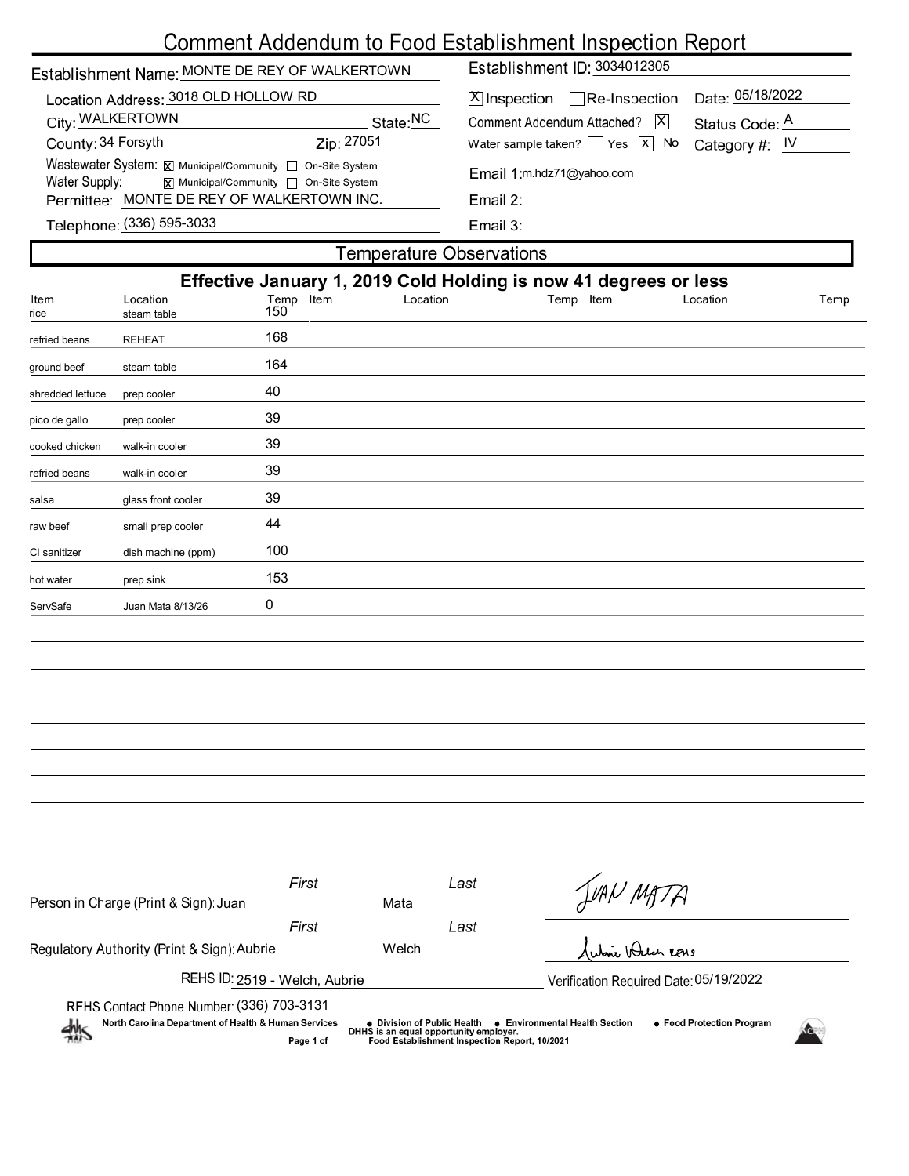# Comment Addendum to Food Establishment Inspection Report

| Establishment Name: MONTE DE REY OF WALKERTOWN                                                                         | Establishment ID: 3034012305                                         |  |  |  |  |
|------------------------------------------------------------------------------------------------------------------------|----------------------------------------------------------------------|--|--|--|--|
| Location Address: 3018 OLD HOLLOW RD                                                                                   | Date: 05/18/2022<br>Re-Inspection<br> X Inspection                   |  |  |  |  |
| City: WALKERTOWN<br>State:NC                                                                                           | $\overline{X}$<br>Comment Addendum Attached?<br>Status Code: A       |  |  |  |  |
| County: 34 Forsyth<br>Zip: 27051                                                                                       | Water sample taken? $\sqrt{ }$ Yes $\sqrt{x}$ No<br>Category #: $IV$ |  |  |  |  |
| Wastewater System: X Municipal/Community   On-Site System<br>Water Supply:<br> x  Municipal/Community   On-Site System | Email 1:m.hdz71@yahoo.com                                            |  |  |  |  |
| Permittee: MONTE DE REY OF WALKERTOWN INC.                                                                             | Email 2:                                                             |  |  |  |  |
| Telephone: (336) 595-3033                                                                                              | Email $3:$                                                           |  |  |  |  |
| Temperature Observations                                                                                               |                                                                      |  |  |  |  |

|                  |                         |                  |          | Effective January 1, 2019 Cold Holding is now 41 degrees or less |          |      |
|------------------|-------------------------|------------------|----------|------------------------------------------------------------------|----------|------|
| Item<br>rice     | Location<br>steam table | Temp Item<br>150 | Location | Temp Item                                                        | Location | Temp |
| refried beans    | <b>REHEAT</b>           | 168              |          |                                                                  |          |      |
| ground beef      | steam table             | 164              |          |                                                                  |          |      |
| shredded lettuce | prep cooler             | 40               |          |                                                                  |          |      |
| pico de gallo    | prep cooler             | 39               |          |                                                                  |          |      |
| cooked chicken   | walk-in cooler          | 39               |          |                                                                  |          |      |
| refried beans    | walk-in cooler          | 39               |          |                                                                  |          |      |
| salsa            | glass front cooler      | 39               |          |                                                                  |          |      |
| raw beef         | small prep cooler       | 44               |          |                                                                  |          |      |
| CI sanitizer     | dish machine (ppm)      | 100              |          |                                                                  |          |      |
| hot water        | prep sink               | 153              |          |                                                                  |          |      |
| ServSafe         | Juan Mata 8/13/26       | 0                |          |                                                                  |          |      |
|                  |                         |                  |          |                                                                  |          |      |
|                  |                         |                  |          |                                                                  |          |      |
|                  |                         |                  |          |                                                                  |          |      |
|                  |                         |                  |          |                                                                  |          |      |
|                  |                         |                  |          |                                                                  |          |      |
|                  |                         |                  |          |                                                                  |          |      |
|                  |                         |                  |          |                                                                  |          |      |
|                  |                         |                  |          |                                                                  |          |      |

| Person in Charge (Print & Sign): Juan                                                                                                                                                                                                                                                                                    | First | Mata  | Last | JUAN MATA                              |  |
|--------------------------------------------------------------------------------------------------------------------------------------------------------------------------------------------------------------------------------------------------------------------------------------------------------------------------|-------|-------|------|----------------------------------------|--|
|                                                                                                                                                                                                                                                                                                                          | First |       | Last |                                        |  |
| Regulatory Authority (Print & Sign): Aubrie                                                                                                                                                                                                                                                                              |       | Welch |      | Subic Been Rens                        |  |
| REHS ID: 2519 - Welch, Aubrie                                                                                                                                                                                                                                                                                            |       |       |      | Verification Required Date: 05/19/2022 |  |
| REHS Contact Phone Number: (336) 703-3131<br>North Carolina Department of Health & Human Services<br>● Food Protection Program<br>• Environmental Health Section<br>● Division of Public Health<br>$\frac{1}{2}$<br>DHHS is an equal opportunity employer.<br>Food Establishment Inspection Report, 10/2021<br>Page 1 of |       |       |      |                                        |  |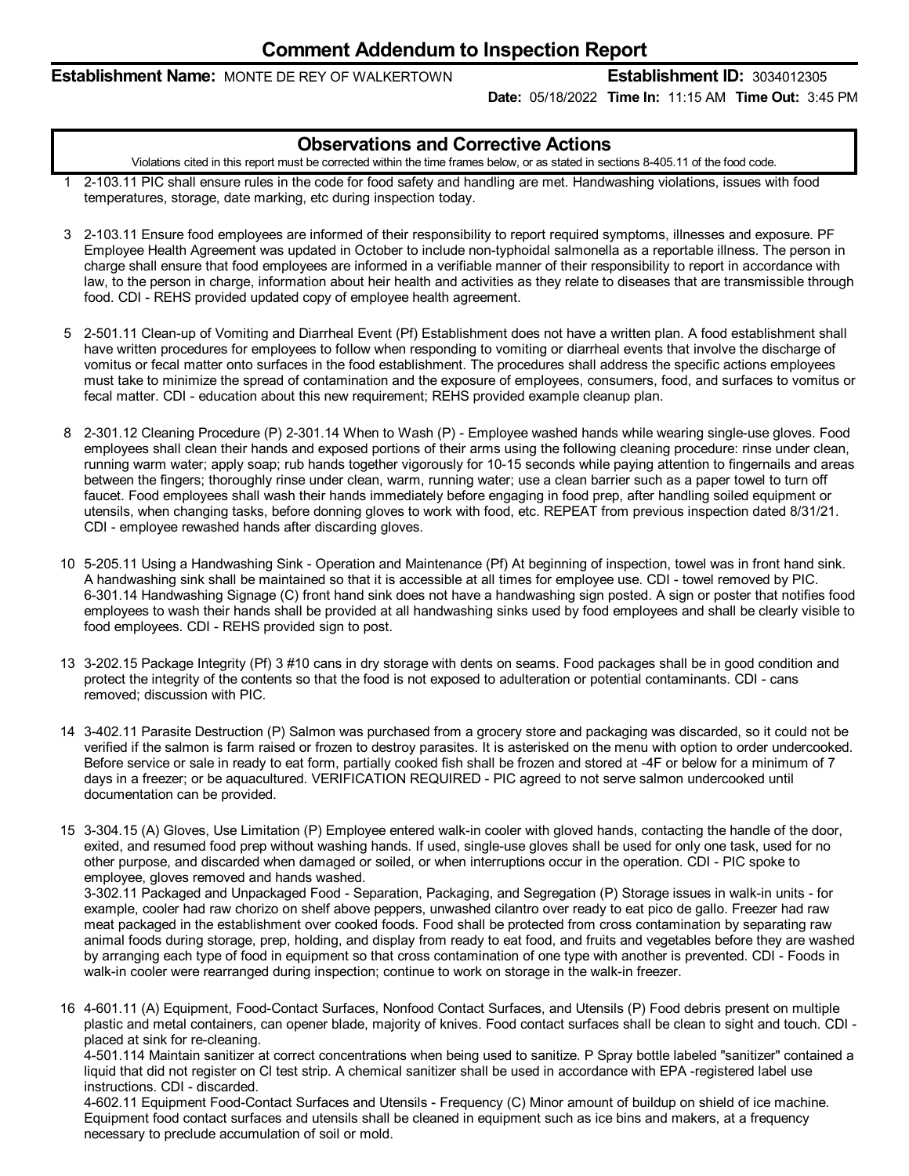### **Establishment Name:** MONTE DE REY OF WALKERTOWN **Establishment ID:** 3034012305

**Date:** 05/18/2022 **Time In:** 11:15 AM **Time Out:** 3:45 PM

### **Observations and Corrective Actions**

Violations cited in this report must be corrected within the time frames below, or as stated in sections 8-405.11 of the food code.

- 1 2-103.11 PIC shall ensure rules in the code for food safety and handling are met. Handwashing violations, issues with food temperatures, storage, date marking, etc during inspection today.
- 3 2-103.11 Ensure food employees are informed of their responsibility to report required symptoms, illnesses and exposure. PF Employee Health Agreement was updated in October to include non-typhoidal salmonella as a reportable illness. The person in charge shall ensure that food employees are informed in a verifiable manner of their responsibility to report in accordance with law, to the person in charge, information about heir health and activities as they relate to diseases that are transmissible through food. CDI - REHS provided updated copy of employee health agreement.
- 5 2-501.11 Clean-up of Vomiting and Diarrheal Event (Pf) Establishment does not have a written plan. A food establishment shall have written procedures for employees to follow when responding to vomiting or diarrheal events that involve the discharge of vomitus or fecal matter onto surfaces in the food establishment. The procedures shall address the specific actions employees must take to minimize the spread of contamination and the exposure of employees, consumers, food, and surfaces to vomitus or fecal matter. CDI - education about this new requirement; REHS provided example cleanup plan.
- 8 2-301.12 Cleaning Procedure (P) 2-301.14 When to Wash (P) Employee washed hands while wearing single-use gloves. Food employees shall clean their hands and exposed portions of their arms using the following cleaning procedure: rinse under clean, running warm water; apply soap; rub hands together vigorously for 10-15 seconds while paying attention to fingernails and areas between the fingers; thoroughly rinse under clean, warm, running water; use a clean barrier such as a paper towel to turn off faucet. Food employees shall wash their hands immediately before engaging in food prep, after handling soiled equipment or utensils, when changing tasks, before donning gloves to work with food, etc. REPEAT from previous inspection dated 8/31/21. CDI - employee rewashed hands after discarding gloves.
- 10 5-205.11 Using a Handwashing Sink Operation and Maintenance (Pf) At beginning of inspection, towel was in front hand sink. A handwashing sink shall be maintained so that it is accessible at all times for employee use. CDI - towel removed by PIC. 6-301.14 Handwashing Signage (C) front hand sink does not have a handwashing sign posted. A sign or poster that notifies food employees to wash their hands shall be provided at all handwashing sinks used by food employees and shall be clearly visible to food employees. CDI - REHS provided sign to post.
- 13 3-202.15 Package Integrity (Pf) 3 #10 cans in dry storage with dents on seams. Food packages shall be in good condition and protect the integrity of the contents so that the food is not exposed to adulteration or potential contaminants. CDI - cans removed; discussion with PIC.
- 14 3-402.11 Parasite Destruction (P) Salmon was purchased from agrocery store and packaging was discarded, so it could not be verified if the salmon is farm raised or frozen to destroy parasites. It is asterisked on the menu with option to order undercooked. Before service or sale in ready to eat form, partially cooked fish shall be frozen and stored at -4F or below for a minimum of 7 days in a freezer; or be aquacultured. VERIFICATION REQUIRED - PIC agreed to not serve salmon undercooked until documentation can be provided.
- 15 3-304.15 (A) Gloves, Use Limitation (P) Employee entered walk-in cooler with gloved hands, contacting the handle of the door, exited, and resumed food prep without washing hands. If used, single-use gloves shall be used for only one task, used for no other purpose, and discarded when damaged or soiled, or when interruptions occur in the operation. CDI - PIC spoke to employee, gloves removed and hands washed.

3-302.11 Packaged and Unpackaged Food - Separation, Packaging, and Segregation (P) Storage issues in walk-in units -for example, cooler had raw chorizo on shelf above peppers, unwashed cilantro over ready to eat pico de gallo. Freezer had raw meat packaged in the establishment over cooked foods. Food shall be protected from cross contamination by separating raw animal foods during storage, prep, holding, and display from ready to eat food, and fruits and vegetables before they are washed by arranging each type of food in equipment so that cross contamination of one type with another is prevented. CDI - Foods in walk-in cooler were rearranged during inspection; continue to work on storage in the walk-in freezer.

16 4-601.11 (A) Equipment, Food-Contact Surfaces, Nonfood Contact Surfaces, and Utensils (P) Food debris present on multiple plastic and metal containers, can opener blade, majority of knives. Food contact surfaces shall be clean to sight and touch. CDI placed at sink for re-cleaning.

4-501.114 Maintain sanitizer at correct concentrations when being used to sanitize. P Spray bottle labeled "sanitizer" contained a liquid that did not register on Cl test strip. A chemical sanitizer shall be used in accordance with EPA -registered label use instructions. CDI - discarded.

4-602.11 Equipment Food-Contact Surfaces and Utensils -Frequency (C) Minor amount of buildup on shield of ice machine. Equipment food contact surfaces and utensils shall be cleaned in equipment such as ice bins and makers, at a frequency necessary to preclude accumulation of soil or mold.